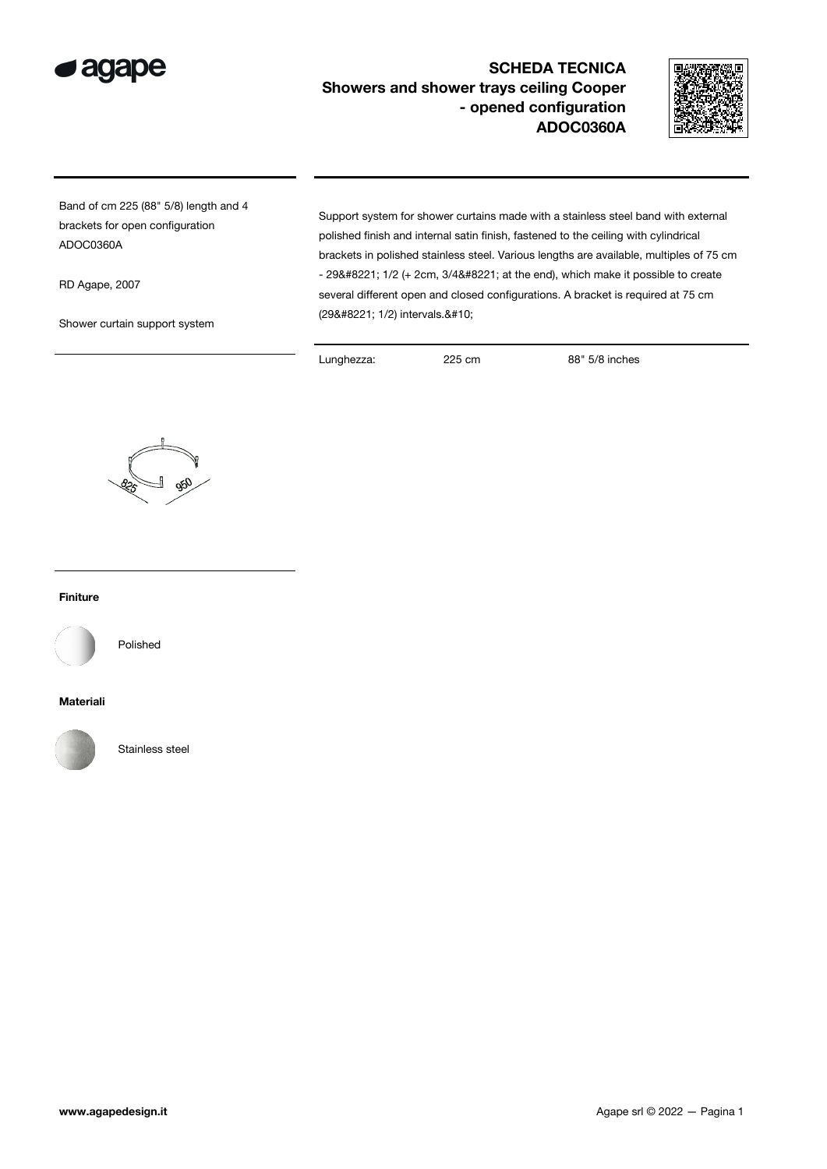

## SCHEDA TECNICA Showers and shower trays ceiling Cooper - opened configuration ADOC0360A



Band of cm 225 (88" 5/8) length and 4 brackets for open configuration ADOC0360A

RD Agape, 2007

Shower curtain support system

Support system for shower curtains made with a stainless steel band with external polished finish and internal satin finish, fastened to the ceiling with cylindrical brackets in polished stainless steel. Various lengths are available, multiples of 75 cm  $-$  29" 1/2 (+ 2cm, 3/4" at the end), which make it possible to create several different open and closed configurations. A bracket is required at 75 cm (29" 1/2) intervals.

Lunghezza: 225 cm 88" 5/8 inches



## Finiture



Polished

## Materiali



Stainless steel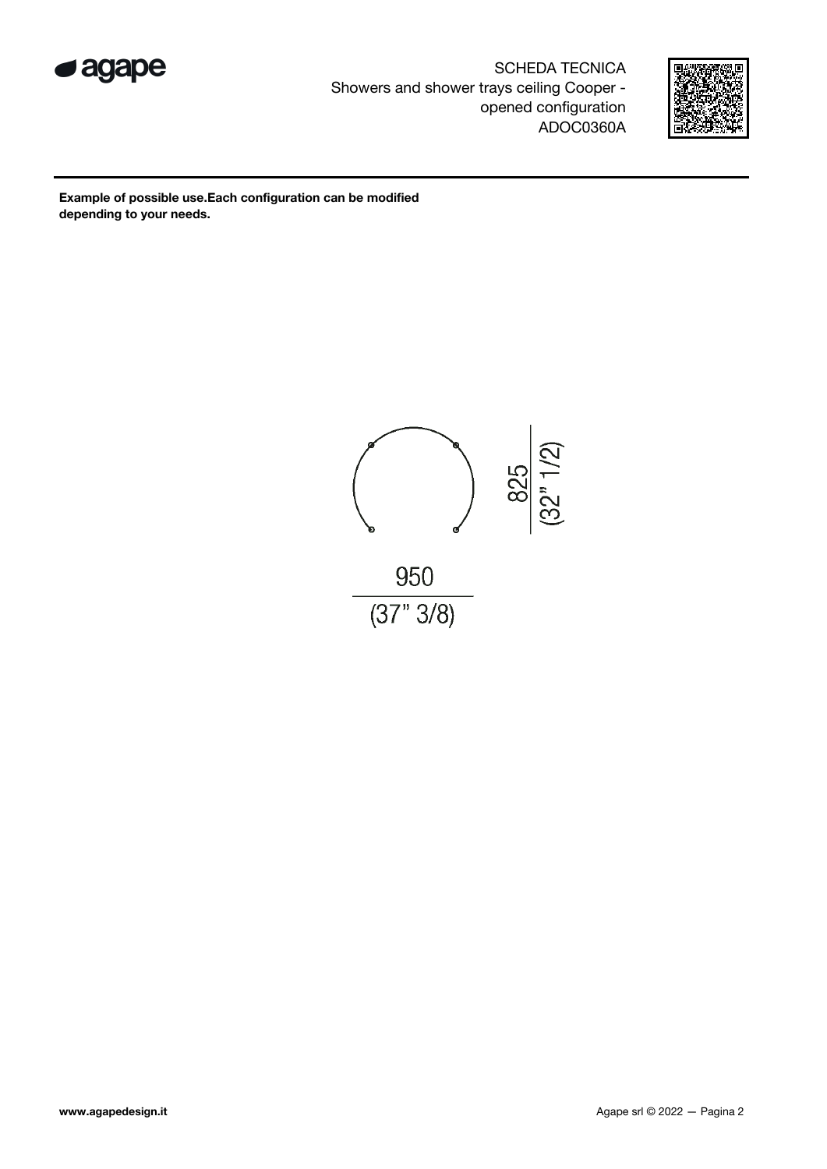

SCHEDA TECNICA Showers and shower trays ceiling Cooper opened configuration ADOC0360A



Example of possible use.Each configuration can be modified depending to your needs.

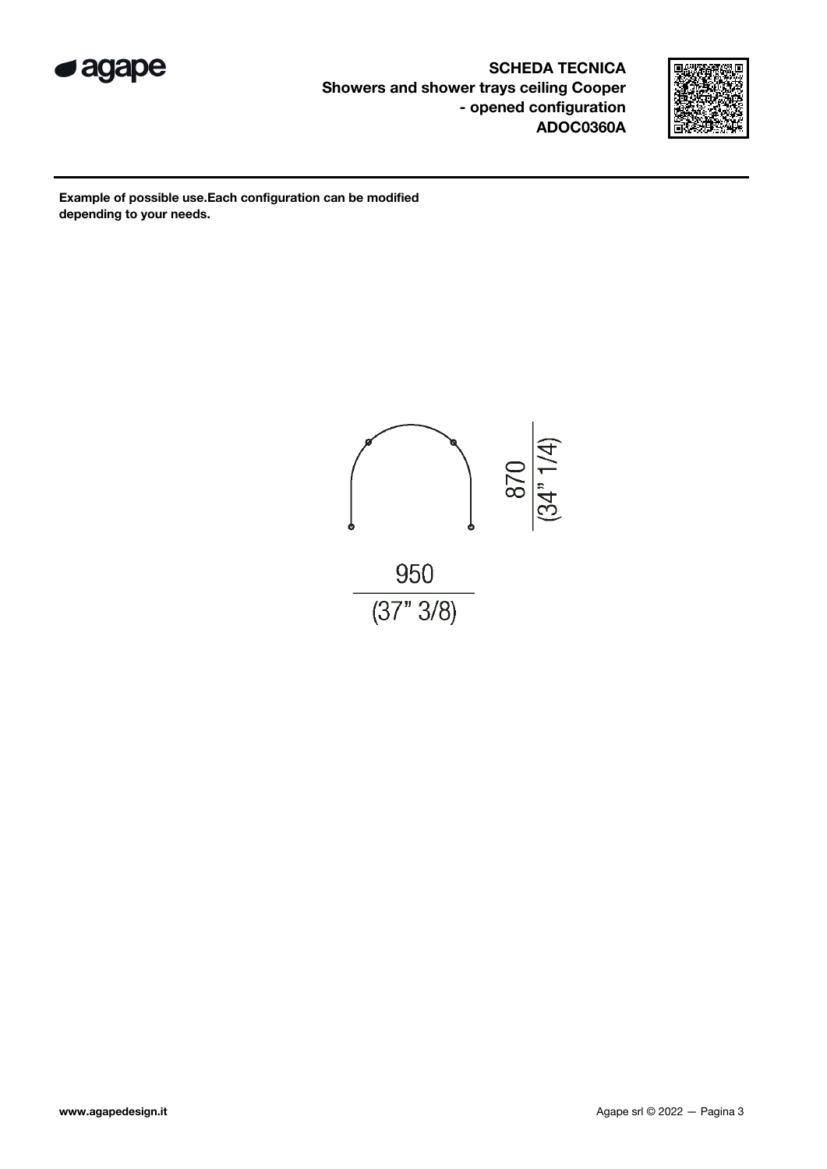

SCHEDA TECNICA Showers and shower trays ceiling Cooper - opened configuration ADOC0360A



Example of possible use.Each configuration can be modified depending to your needs.